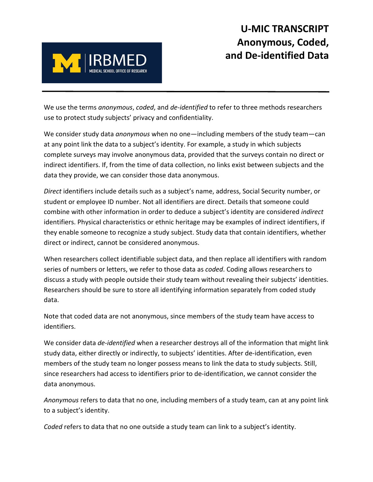

We use the terms *anonymous*, *coded*, and *de-identified* to refer to three methods researchers use to protect study subjects' privacy and confidentiality.

We consider study data *anonymous* when no one—including members of the study team—can at any point link the data to a subject's identity. For example, a study in which subjects complete surveys may involve anonymous data, provided that the surveys contain no direct or indirect identifiers. If, from the time of data collection, no links exist between subjects and the data they provide, we can consider those data anonymous.

*Direct* identifiers include details such as a subject's name, address, Social Security number, or student or employee ID number. Not all identifiers are direct. Details that someone could combine with other information in order to deduce a subject's identity are considered *indirect* identifiers. Physical characteristics or ethnic heritage may be examples of indirect identifiers, if they enable someone to recognize a study subject. Study data that contain identifiers, whether direct or indirect, cannot be considered anonymous.

When researchers collect identifiable subject data, and then replace all identifiers with random series of numbers or letters, we refer to those data as *coded*. Coding allows researchers to discuss a study with people outside their study team without revealing their subjects' identities. Researchers should be sure to store all identifying information separately from coded study data.

Note that coded data are not anonymous, since members of the study team have access to identifiers.

We consider data *de-identified* when a researcher destroys all of the information that might link study data, either directly or indirectly, to subjects' identities. After de-identification, even members of the study team no longer possess means to link the data to study subjects. Still, since researchers had access to identifiers prior to de-identification, we cannot consider the data anonymous.

*Anonymous* refers to data that no one, including members of a study team, can at any point link to a subject's identity.

*Coded* refers to data that no one outside a study team can link to a subject's identity.